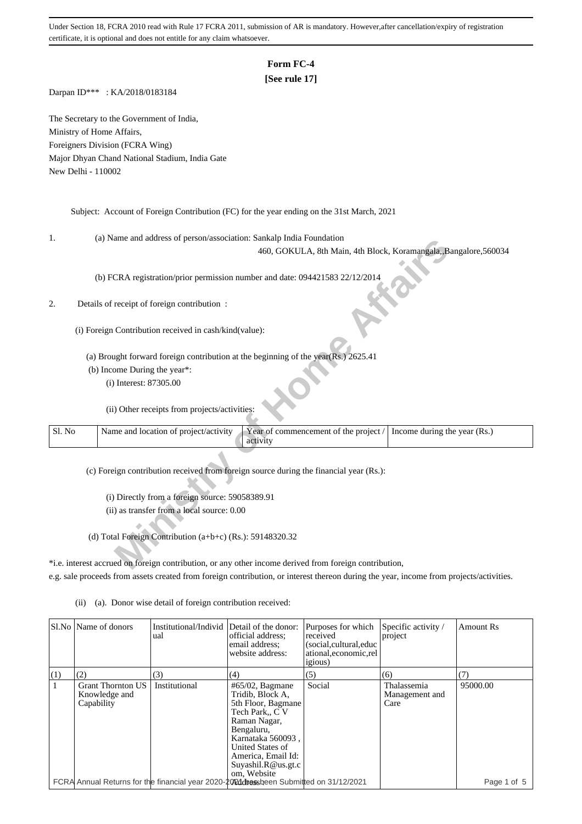# **Form FC-4**

## **[See rule 17]**

Darpan ID\*\*\* : KA/2018/0183184

The Secretary to the Government of India, Ministry of Home Affairs, Foreigners Division (FCRA Wing) Major Dhyan Chand National Stadium, India Gate New Delhi - 110002

Subject: Account of Foreign Contribution (FC) for the year ending on the 31st March, 2021

1. (a) Name and address of person/association: Sankalp India Foundation

### 2. Details of receipt of foreign contribution :

| ı.     | (a) Ivalue and address of person/association. Samkaip mula Foundation                |                                                                                                        |                              |
|--------|--------------------------------------------------------------------------------------|--------------------------------------------------------------------------------------------------------|------------------------------|
|        |                                                                                      | 460, GOKULA, 8th Main, 4th Block, Koramangala, Bangalore, 560034                                       |                              |
|        |                                                                                      |                                                                                                        |                              |
|        | (b) FCRA registration/prior permission number and date: 094421583 22/12/2014         |                                                                                                        |                              |
|        |                                                                                      |                                                                                                        |                              |
| 2.     | Details of receipt of foreign contribution :                                         |                                                                                                        |                              |
|        |                                                                                      |                                                                                                        |                              |
|        |                                                                                      |                                                                                                        |                              |
|        | (i) Foreign Contribution received in cash/kind(value):                               |                                                                                                        |                              |
|        |                                                                                      |                                                                                                        |                              |
|        | (a) Brought forward foreign contribution at the beginning of the year(Rs.) $2625.41$ |                                                                                                        |                              |
|        | (b) Income During the year*:                                                         |                                                                                                        |                              |
|        | (i) Interest: 87305.00                                                               |                                                                                                        |                              |
|        |                                                                                      |                                                                                                        |                              |
|        | (ii) Other receipts from projects/activities:                                        |                                                                                                        |                              |
|        |                                                                                      |                                                                                                        |                              |
| Sl. No | Name and location of project/activity                                                | Year of commencement of the project /                                                                  | Income during the year (Rs.) |
|        |                                                                                      | activity                                                                                               |                              |
|        |                                                                                      |                                                                                                        |                              |
|        |                                                                                      | (c) Foreign contribution received from foreign source during the financial year (Rs.):                 |                              |
|        |                                                                                      |                                                                                                        |                              |
|        | (i) Directly from a foreign source: 59058389.91                                      |                                                                                                        |                              |
|        | (ii) as transfer from a local source: 0.00                                           |                                                                                                        |                              |
|        |                                                                                      |                                                                                                        |                              |
|        |                                                                                      |                                                                                                        |                              |
|        | (d) Total Foreign Contribution (a+b+c) (Rs.): 59148320.32                            |                                                                                                        |                              |
|        |                                                                                      |                                                                                                        |                              |
|        |                                                                                      | *i.e. interest accrued on foreign contribution, or any other income derived from foreign contribution, |                              |

\*i.e. interest accrued on foreign contribution, or any other income derived from foreign contribution, e.g. sale proceeds from assets created from foreign contribution, or interest thereon during the year, income from projects/activities.

|     | SI.No Name of donors                                    | Institutional/Individ<br>ual                                                            | Detail of the donor:<br>official address;<br>email address:<br>website address:                                                                                                                                   | Purposes for which<br>received<br>(social, cultural, educ<br>ational, economic, rel<br><i>igious</i> ) | Specific activity /<br>project        | Amount Rs   |
|-----|---------------------------------------------------------|-----------------------------------------------------------------------------------------|-------------------------------------------------------------------------------------------------------------------------------------------------------------------------------------------------------------------|--------------------------------------------------------------------------------------------------------|---------------------------------------|-------------|
| (1) | (2)                                                     | (3)                                                                                     | (4)                                                                                                                                                                                                               | (5)                                                                                                    | (6)                                   | (7)         |
|     | <b>Grant Thornton US</b><br>Knowledge and<br>Capability | Institutional                                                                           | $#65/02$ , Bagmane<br>Tridib, Block A,<br>5th Floor, Bagmane<br>Tech Park., C V<br>Raman Nagar,<br>Bengaluru,<br>Karnataka 560093,<br>United States of<br>America, Email Id:<br>Suyashi.R@us.get.c<br>om. Website | Social                                                                                                 | Thalassemia<br>Management and<br>Care | 95000.00    |
|     |                                                         | FCRA Annual Returns for the financial year 2020-2021 dress been Submitted on 31/12/2021 |                                                                                                                                                                                                                   |                                                                                                        |                                       | Page 1 of 5 |

(ii) (a). Donor wise detail of foreign contribution received: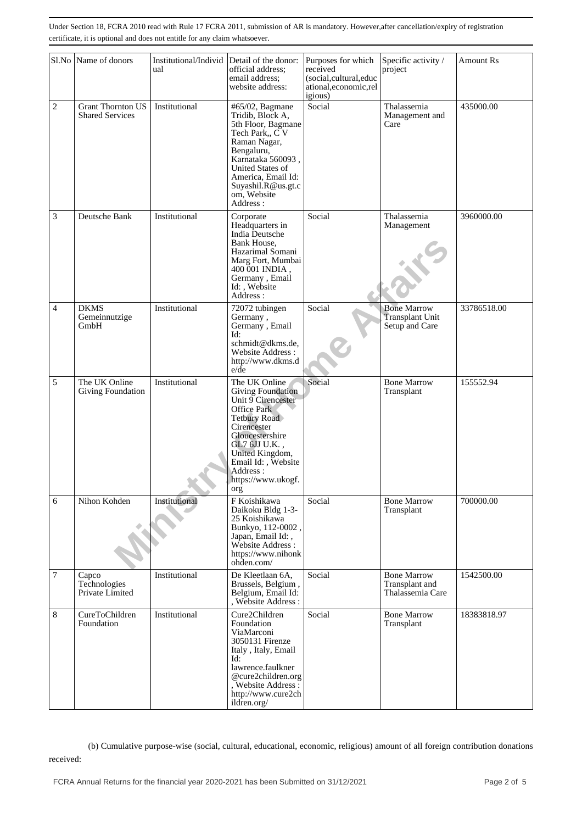|                | Sl.No Name of donors                               | Institutional/Individ<br>ual | Detail of the donor:<br>official address;<br>email address:<br>website address:                                                                                                                                                     | Purposes for which<br>received<br>(social,cultural,educ<br>ational, economic, rel<br>igious) | Specific activity /<br>project                                 | Amount Rs   |
|----------------|----------------------------------------------------|------------------------------|-------------------------------------------------------------------------------------------------------------------------------------------------------------------------------------------------------------------------------------|----------------------------------------------------------------------------------------------|----------------------------------------------------------------|-------------|
| $\overline{c}$ | <b>Grant Thornton US</b><br><b>Shared Services</b> | Institutional                | #65/02, Bagmane<br>Tridib, Block A,<br>5th Floor, Bagmane<br>Tech Park,, CV<br>Raman Nagar,<br>Bengaluru,<br>Karnataka 560093,<br>United States of<br>America, Email Id:<br>Suyashil.R@us.gt.c<br>om, Website<br>Address:           | Social                                                                                       | Thalassemia<br>Management and<br>Care                          | 435000.00   |
| 3              | Deutsche Bank                                      | Institutional                | Corporate<br>Headquarters in<br>India Deutsche<br>Bank House,<br>Hazarimal Somani<br>Marg Fort, Mumbai<br>400 001 INDIA,<br>Germany, Email<br>Id:, Website<br>Address:                                                              | Social                                                                                       | Thalassemia<br>Management                                      | 3960000.00  |
| $\overline{4}$ | <b>DKMS</b><br>Gemeinnutzige<br>GmbH               | Institutional                | 72072 tubingen<br>Germany,<br>Germany, Email<br>Id:<br>schmidt@dkms.de,<br>Website Address:<br>http://www.dkms.d<br>$e$ /de                                                                                                         | Social                                                                                       | <b>Bone Marrow</b><br><b>Transplant Unit</b><br>Setup and Care | 33786518.00 |
| 5              | The UK Online<br>Giving Foundation                 | Institutional                | The UK Online<br><b>Giving Foundation</b><br>Unit 9 Cirencester<br>Office Park<br>Tetbury Road<br>Cirencester<br>Gloucestershire<br>GL7 6JJ U.K.,<br>United Kingdom,<br>Email Id:, Website<br>Address:<br>https://www.ukogf.<br>org | Social                                                                                       | <b>Bone Marrow</b><br>Transplant                               | 155552.94   |
| 6              | Nihon Kohden                                       | Institutional                | F Koishikawa<br>Daikoku Bldg 1-3-<br>25 Koishikawa<br>Bunkyo, 112-0002,<br>Japan, Email Id:,<br>Website Address:<br>https://www.nihonk<br>ohden.com/                                                                                | Social                                                                                       | <b>Bone Marrow</b><br>Transplant                               | 700000.00   |
| 7              | Capco<br>Technologies<br>Private Limited           | Institutional                | De Kleetlaan 6A.<br>Brussels, Belgium,<br>Belgium, Email Id:<br>, Website Address :                                                                                                                                                 | Social                                                                                       | <b>Bone Marrow</b><br>Transplant and<br>Thalassemia Care       | 1542500.00  |
| 8              | CureToChildren<br>Foundation                       | Institutional                | Cure2Children<br>Foundation<br>ViaMarconi<br>3050131 Firenze<br>Italy, Italy, Email<br>Id:<br>lawrence.faulkner<br>@cure2children.org<br>, Website Address:<br>http://www.cure2ch<br>ildren.org/                                    | Social                                                                                       | <b>Bone Marrow</b><br>Transplant                               | 18383818.97 |

 (b) Cumulative purpose-wise (social, cultural, educational, economic, religious) amount of all foreign contribution donations received: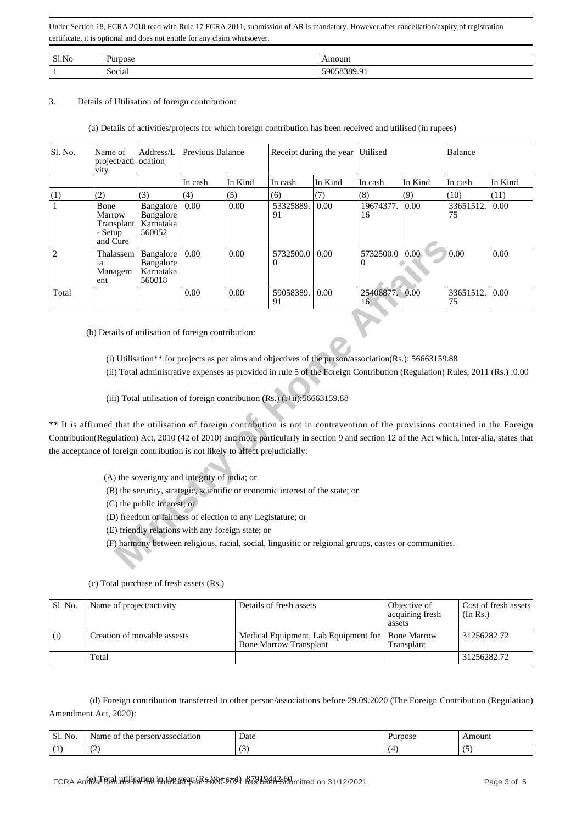| Sl.No | $\mathbf{r}$<br>1.71770000<br>IOS6 | nouni             |
|-------|------------------------------------|-------------------|
|       | $\cdot$ .<br>Social                | .<br>ч<br>0909.91 |

### 3. Details of Utilisation of foreign contribution:

### (a) Details of activities/projects for which foreign contribution has been received and utilised (in rupees)

| Sl. No.        | Name of<br>project/acti ocation<br>vity                                       | Address/L                                                                     | Previous Balance |                                                                                                                 | Receipt during the year                                                                                                                                                                                                                                                                                                                                                                                                                                                                                                                                                                                                                                                                         |         | Utilised             |         | Balance         |         |
|----------------|-------------------------------------------------------------------------------|-------------------------------------------------------------------------------|------------------|-----------------------------------------------------------------------------------------------------------------|-------------------------------------------------------------------------------------------------------------------------------------------------------------------------------------------------------------------------------------------------------------------------------------------------------------------------------------------------------------------------------------------------------------------------------------------------------------------------------------------------------------------------------------------------------------------------------------------------------------------------------------------------------------------------------------------------|---------|----------------------|---------|-----------------|---------|
|                |                                                                               |                                                                               | In cash          | In Kind                                                                                                         | In cash                                                                                                                                                                                                                                                                                                                                                                                                                                                                                                                                                                                                                                                                                         | In Kind | In cash              | In Kind | In cash         | In Kind |
| (1)            | (2)                                                                           | (3)                                                                           | (4)              | (5)                                                                                                             | (6)                                                                                                                                                                                                                                                                                                                                                                                                                                                                                                                                                                                                                                                                                             | (7)     | (8)                  | (9)     | (10)            | (11)    |
| 1              | Bone<br>Marrow<br>Transplant<br>- Setup<br>and Cure                           | Bangalore<br>Bangalore<br>Karnataka<br>560052                                 | 0.00             | 0.00                                                                                                            | 53325889.<br>91                                                                                                                                                                                                                                                                                                                                                                                                                                                                                                                                                                                                                                                                                 | 0.00    | 19674377.<br>16      | 0.00    | 33651512.<br>75 | 0.00    |
| $\overline{2}$ | Thalassem<br>ia<br>Managem<br>ent                                             | Bangalore<br>Bangalore<br>Karnataka<br>560018                                 | 0.00             | 0.00                                                                                                            | 5732500.0<br>0                                                                                                                                                                                                                                                                                                                                                                                                                                                                                                                                                                                                                                                                                  | 0.00    | 5732500.0<br>0       | 0.00    | 0.00            | 0.00    |
| Total          |                                                                               |                                                                               | 0.00             | 0.00                                                                                                            | 59058389.<br>91                                                                                                                                                                                                                                                                                                                                                                                                                                                                                                                                                                                                                                                                                 | 0.00    | 25406877. 0.00<br>16 |         | 33651512.<br>75 | 0.00    |
|                | the acceptance of foreign contribution is not likely to affect prejudicially: | (A) the soverignty and integrity of india; or.<br>(C) the public interest; or |                  | (D) freedom or fairness of election to any Legistature; or<br>(E) friendly relations with any foreign state; or | (i) Utilisation <sup>**</sup> for projects as per aims and objectives of the person/association(Rs.): 56663159.88<br>(ii) Total administrative expenses as provided in rule 5 of the Foreign Contribution (Regulation) Rules, 2011 (Rs.) :0.00<br>(iii) Total utilisation of foreign contribution (Rs.) (i+ii):56663159.88<br>** It is affirmed that the utilisation of foreign contribution is not in contravention of the provisions contained in the Foreign<br>Contribution(Regulation) Act, 2010 (42 of 2010) and more particularly in section 9 and section 12 of the Act which, inter-alia, states that<br>(B) the security, strategic, scientific or economic interest of the state; or |         |                      |         |                 |         |
|                |                                                                               |                                                                               |                  |                                                                                                                 | (F) harmony between religious, racial, social, lingusitic or relgional groups, castes or communities.                                                                                                                                                                                                                                                                                                                                                                                                                                                                                                                                                                                           |         |                      |         |                 |         |

| Sl. No. | Name of project/activity    | Details of fresh assets                                               | Objective of<br>acquiring fresh<br>assets | Cost of fresh assets<br>(In Rs.) |
|---------|-----------------------------|-----------------------------------------------------------------------|-------------------------------------------|----------------------------------|
| (i)     | Creation of movable assests | Medical Equipment, Lab Equipment for<br><b>Bone Marrow Transplant</b> | <b>Bone Marrow</b><br>Transplant          | 31256282.72                      |
|         | Total                       |                                                                       |                                           | 31256282.72                      |

(c) Total purchase of fresh assets (Rs.)

 (d) Foreign contribution transferred to other person/associations before 29.09.2020 (The Foreign Contribution (Regulation) Amendment Act, 2020):

| $\sim$ $\sim$<br>Sl.<br>No. | rson/association<br>Name of<br>the<br>per: | Date<br>.                | Purpose    | Amount   |
|-----------------------------|--------------------------------------------|--------------------------|------------|----------|
|                             | $\sim$<br>╰                                | $\overline{\phantom{a}}$ | <u> та</u> | . .<br>ື |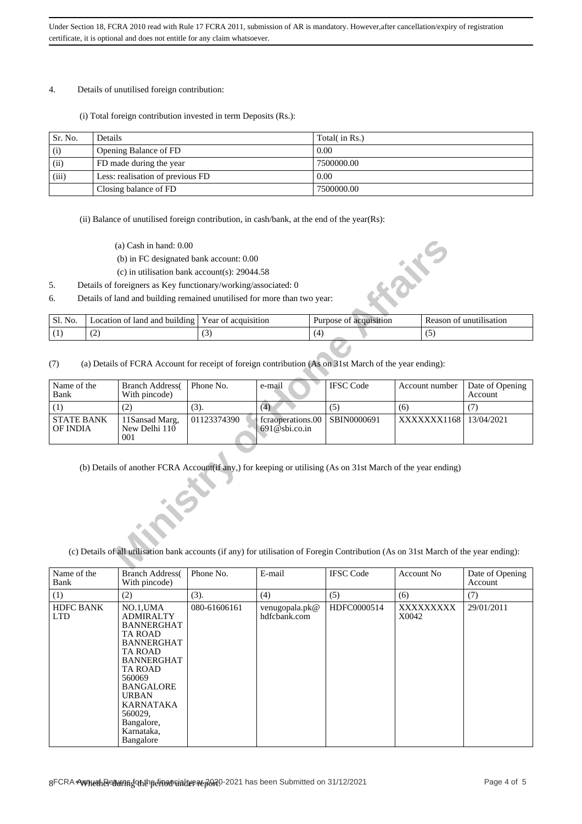#### 4. Details of unutilised foreign contribution:

(i) Total foreign contribution invested in term Deposits (Rs.):

| Sr. No. | Details                          | Total( in Rs.) |
|---------|----------------------------------|----------------|
| (i)     | Opening Balance of FD            | 0.00           |
| (ii)    | FD made during the year          | 7500000.00     |
| (iii)   | Less: realisation of previous FD | 0.00           |
|         | Closing balance of FD            | 7500000.00     |

(ii) Balance of unutilised foreign contribution, in cash/bank, at the end of the year(Rs):

- (a) Cash in hand: 0.00
- (b) in FC designated bank account: 0.00
- (c) in utilisation bank account(s): 29044.58

| Sl.<br>N6. | -lanc<br>ano<br>building<br>.ocation<br>nt | ear<br>acquisition | Purpose<br>isition<br>20 <sup>'</sup><br>7 | m<br>'sanor |
|------------|--------------------------------------------|--------------------|--------------------------------------------|-------------|
|            | . .                                        | ັ                  |                                            |             |

|                                                                                                                                 |                                                                                                                                                                                                                                                                                                                                                     | $(a)$ Cash in hand: $0.00$                                               |                     |        |     |                        |     |     |                            |  |
|---------------------------------------------------------------------------------------------------------------------------------|-----------------------------------------------------------------------------------------------------------------------------------------------------------------------------------------------------------------------------------------------------------------------------------------------------------------------------------------------------|--------------------------------------------------------------------------|---------------------|--------|-----|------------------------|-----|-----|----------------------------|--|
| (b) in FC designated bank account: 0.00                                                                                         |                                                                                                                                                                                                                                                                                                                                                     |                                                                          |                     |        |     |                        | "茶" |     |                            |  |
|                                                                                                                                 |                                                                                                                                                                                                                                                                                                                                                     | (c) in utilisation bank account(s): $29044.58$                           |                     |        |     |                        |     |     |                            |  |
| 5.                                                                                                                              |                                                                                                                                                                                                                                                                                                                                                     | Details of foreigners as Key functionary/working/associated: 0           |                     |        |     |                        |     |     |                            |  |
| 6.                                                                                                                              |                                                                                                                                                                                                                                                                                                                                                     | Details of land and building remained unutilised for more than two year: |                     |        |     |                        |     |     |                            |  |
| Sl. No.                                                                                                                         |                                                                                                                                                                                                                                                                                                                                                     | Location of land and building                                            | Year of acquisition |        |     | Purpose of acquisition |     |     | Reason of unutilisation    |  |
| (1)                                                                                                                             | (2)                                                                                                                                                                                                                                                                                                                                                 |                                                                          | (3)                 |        | (4) |                        |     | (5) |                            |  |
| (a) Details of FCRA Account for receipt of foreign contribution (As on 31st March of the year ending):<br>(7)<br>Account number |                                                                                                                                                                                                                                                                                                                                                     |                                                                          |                     |        |     |                        |     |     |                            |  |
| Name of the<br>Bank                                                                                                             |                                                                                                                                                                                                                                                                                                                                                     | <b>Branch Address</b><br>With pincode)                                   | Phone No.           | e-mail |     | <b>IFSC</b> Code       |     |     | Date of Opening<br>Account |  |
| (1)                                                                                                                             |                                                                                                                                                                                                                                                                                                                                                     | (2)                                                                      | (3).                | (4)    |     | (5)                    | (6) |     | (7)                        |  |
|                                                                                                                                 |                                                                                                                                                                                                                                                                                                                                                     | 11Sansad Marg,<br>New Delhi 110<br>001                                   | 01123374390         |        |     | SBIN0000691            |     |     | 13/04/2021                 |  |
|                                                                                                                                 | <b>STATE BANK</b><br>fcraoperations.00<br>XXXXXXX1168<br>$691@$ sbi.co.in<br><b>OF INDIA</b><br>(b) Details of another FCRA Account(if any,) for keeping or utilising (As on 31st March of the year ending)<br>(c) Details of all utilisation bank accounts (if any) for utilisation of Foregin Contribution (As on 31st March of the year ending): |                                                                          |                     |        |     |                        |     |     |                            |  |

| Name of the<br>Bank            | <b>Branch Address</b><br>With pincode)                                                                                                                                                                                                                 | Phone No.    | E-mail                         | <b>IFSC Code</b> | Account No.        | Date of Opening<br>Account |
|--------------------------------|--------------------------------------------------------------------------------------------------------------------------------------------------------------------------------------------------------------------------------------------------------|--------------|--------------------------------|------------------|--------------------|----------------------------|
| (1)                            | (2)                                                                                                                                                                                                                                                    | (3).         | (4)                            | (5)              | (6)                | (7)                        |
| <b>HDFC BANK</b><br><b>LTD</b> | $NO.1$ , UMA<br><b>ADMIRALTY</b><br><b>BANNERGHAT</b><br>TA ROAD<br><b>BANNERGHAT</b><br>TA ROAD<br><b>BANNERGHAT</b><br><b>TA ROAD</b><br>560069<br><b>BANGALORE</b><br><b>URBAN</b><br>KARNATAKA<br>560029,<br>Bangalore,<br>Karnataka,<br>Bangalore | 080-61606161 | venugopala.pk@<br>hdfcbank.com | HDFC0000514      | XXXXXXXXX<br>X0042 | 29/01/2011                 |